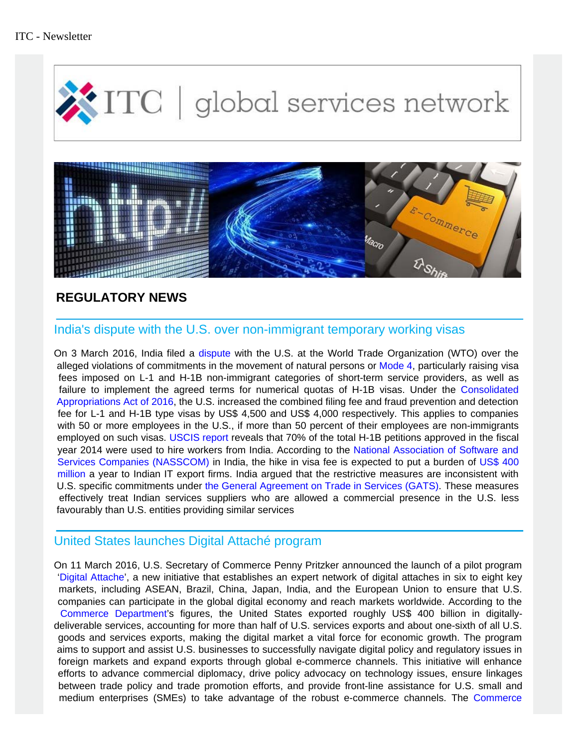

# **REGULATORY NEWS**

## India's dispute with the U.S. over non-immigrant temporary working visas

On 3 March 2016, India filed a [dispute](https://www.wto.org/english/news_e/news16_e/ds503rfc_04mar16_e.htm) with the U.S. at the World Trade Organization (WTO) over the alleged violations of commitments in the movement of natural persons or [Mode 4,](https://www.wto.org/english/tratop_e/serv_e/mouvement_persons_e/mouvement_persons_e.htm) particularly raising visa fees imposed on L-1 and H-1B non-immigrant categories of short-term service providers, as well as failure to implement the agreed terms for numerical quotas of H-1B visas. Under the [Consolidated](https://www.congress.gov/bill/114th-congress/house-bill/2029/text)  [Appropriations Act of 2016](https://www.congress.gov/bill/114th-congress/house-bill/2029/text), the U.S. increased the combined filing fee and fraud prevention and detection fee for L-1 and H-1B type visas by US\$ 4,500 and US\$ 4,000 respectively. This applies to companies with 50 or more employees in the U.S., if more than 50 percent of their employees are non-immigrants employed on such visas. [USCIS report](https://www.uscis.gov/sites/default/files/USCIS/Resources/Reports%20and%20Studies/H-1B/h-1B-characteristics-report-14.pdf) reveals that 70% of the total H-1B petitions approved in the fiscal year 2014 were used to hire workers from India. According to the [National Association of Software and](http://www.nasscom.in/) Services Companies (NASSCOM) in India, the hike in visa fee is expected to put a burden of [US\\$ 400](http://www.reuters.com/article/us-india-united-states-visa-idUSKCN0W6165)  [million](http://www.reuters.com/article/us-india-united-states-visa-idUSKCN0W6165) a year to Indian IT export firms. India argued that the restrictive measures are inconsistent with U.S. specific commitments under [the General Agreement on Trade in Services \(GATS\).](https://www.wto.org/english/tratop_e/serv_e/gatsqa_e.htm) These measures effectively treat Indian services suppliers who are allowed a commercial presence in the U.S. less favourably than U.S. entities providing similar services

# United States launches Digital Attaché program

On 11 March 2016, U.S. Secretary of Commerce Penny Pritzker announced the launch of a pilot program ['Digital Attache](https://www.commerce.gov/news/opinion-editorials/2016/03/commerce-launches-digital-attache-program-address-trade-barriers)', a new initiative that establishes an expert network of digital attaches in six to eight key markets, including ASEAN, Brazil, China, Japan, India, and the European Union to ensure that U.S. companies can participate in the global digital economy and reach markets worldwide. According to the [Commerce Department](https://www.commerce.gov/news/press-releases/2016/03/us-secretary-commerce-penny-pritzker-launches-digital-attache-program)'s figures, the United States exported roughly US\$ 400 billion in digitallydeliverable services, accounting for more than half of U.S. services exports and about one-sixth of all U.S. goods and services exports, making the digital market a vital force for economic growth. The program aims to support and assist U.S. businesses to successfully navigate digital policy and regulatory issues in foreign markets and expand exports through global e-commerce channels. This initiative will enhance efforts to advance commercial diplomacy, drive policy advocacy on technology issues, ensure linkages between trade policy and trade promotion efforts, and provide front-line assistance for U.S. small and medium enterprises (SMEs) to take advantage of the robust e-commerce channels. The [Commerce](https://www.ntia.doc.gov/speechtestimony/2016/remarks-department-commerce-director-digital-economy-alan-davidson-10th-annual-)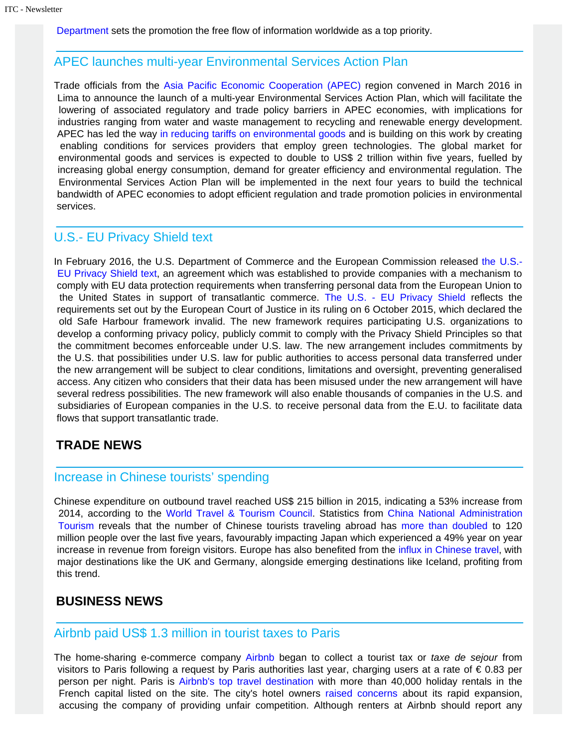[Department](https://www.ntia.doc.gov/speechtestimony/2016/remarks-department-commerce-director-digital-economy-alan-davidson-10th-annual-) sets the promotion the free flow of information worldwide as a top priority.

#### APEC launches multi-year Environmental Services Action Plan

Trade officials from the [Asia Pacific Economic Cooperation \(APEC\)](http://www.apec.org/Press/News-Releases/2016/0301_environment.aspx) region convened in March 2016 in Lima to announce the launch of a multi-year Environmental Services Action Plan, which will facilitate the lowering of associated regulatory and trade policy barriers in APEC economies, with implications for industries ranging from water and waste management to recycling and renewable energy development. APEC has led the way [in reducing tariffs on environmental goods](http://www.apec.org/Groups/Committee-on-Trade-and-Investment/APEC-Economies-Implementation-Plans.aspx) and is building on this work by creating enabling conditions for services providers that employ green technologies. The global market for environmental goods and services is expected to double to US\$ 2 trillion within five years, fuelled by increasing global energy consumption, demand for greater efficiency and environmental regulation. The Environmental Services Action Plan will be implemented in the next four years to build the technical bandwidth of APEC economies to adopt efficient regulation and trade promotion policies in environmental services.

#### U.S.- EU Privacy Shield text

In February 2016, the U.S. Department of Commerce and the European Commission released [the U.S.-](https://www.commerce.gov/sites/commerce.gov/files/media/files/2016/eu_us_privacy_shield_full_text.pdf.pdf)  [EU Privacy Shield text](https://www.commerce.gov/sites/commerce.gov/files/media/files/2016/eu_us_privacy_shield_full_text.pdf.pdf), an agreement which was established to provide companies with a mechanism to comply with EU data protection requirements when transferring personal data from the European Union to the United States in support of transatlantic commerce. [The U.S. - EU Privacy Shield](http://europa.eu/rapid/press-release_IP-16-216_en.htm) reflects the requirements set out by the European Court of Justice in its ruling on 6 October 2015, which declared the old Safe Harbour framework invalid. The new framework requires participating U.S. organizations to develop a conforming privacy policy, publicly commit to comply with the Privacy Shield Principles so that the commitment becomes enforceable under U.S. law. The new arrangement includes commitments by the U.S. that possibilities under U.S. law for public authorities to access personal data transferred under the new arrangement will be subject to clear conditions, limitations and oversight, preventing generalised access. Any citizen who considers that their data has been misused under the new arrangement will have several redress possibilities. The new framework will also enable thousands of companies in the U.S. and subsidiaries of European companies in the U.S. to receive personal data from the E.U. to facilitate data flows that support transatlantic trade.

#### **TRADE NEWS**

#### Increase in Chinese tourists' spending

Chinese expenditure on outbound travel reached US\$ 215 billion in 2015, indicating a 53% increase from 2014, according to the [World Travel & Tourism Council.](http://www.wttc.org/press-room/press-releases/press-releases/2016/chinese-outbound-travel-continues-to-soar-but-inbound-potential-remains-untapped/) Statistics from [China National Administration](http://en.cnta.gov.cn/focus/travelnews/201512/t20151224_755626.shtml)  [Tourism](http://en.cnta.gov.cn/focus/travelnews/201512/t20151224_755626.shtml) reveals that the number of Chinese tourists traveling abroad has [more than doubled](https://www.travelchinaguide.com/tourism/2010statistics/outbound.htm) to 120 million people over the last five years, favourably impacting Japan which experienced a 49% year on year increase in revenue from foreign visitors. Europe has also benefited from the [influx in Chinese travel](http://www.wttc.org/-/media/files/reports/economic%20impact%20research/2016%20documents/economic%20impact%20summary%202016_a4%20web.pdf), with major destinations like the UK and Germany, alongside emerging destinations like Iceland, profiting from this trend.

#### **BUSINESS NEWS**

## Airbnb paid US\$ 1.3 million in tourist taxes to Paris

The home-sharing e-commerce company [Airbnb](https://www.airbnb.com/) began to collect a tourist tax or *taxe de sejour* from visitors to Paris following a request by Paris authorities last year, charging users at a rate of € 0.83 per person per night. Paris is [Airbnb's top travel destination](http://www.theguardian.com/travel/2015/feb/27/paris-becomes-airbnbs-top-home-sharing-city-destination) with more than 40,000 holiday rentals in the French capital listed on the site. The city's hotel owners [raised concerns](http://www.reuters.com/article/us-hotels-france-airbnb-idUSKCN0QE0CO20150809) about its rapid expansion, accusing the company of providing unfair competition. Although renters at Airbnb should report any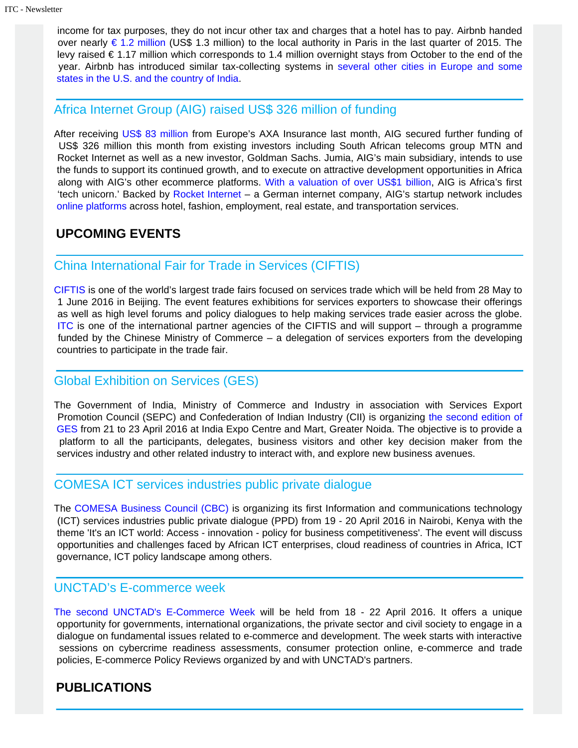income for tax purposes, they do not incur other tax and charges that a hotel has to pay. Airbnb handed over nearly [€ 1.2 million](http://www.theguardian.com/technology/2016/feb/05/airbnb-pays-paris-12m-in-tourist-taxes) (US\$ 1.3 million) to the local authority in Paris in the last quarter of 2015. The levy raised € 1.17 million which corresponds to 1.4 million overnight stays from October to the end of the year. Airbnb has introduced similar tax-collecting systems in [several other cities in Europe and some](https://www.airbnb.com/help/article/653/in-what-areas-is-occupancy-tax-collection-and-remittance-by-airbnb-available)  [states in the U.S. and the country of India](https://www.airbnb.com/help/article/653/in-what-areas-is-occupancy-tax-collection-and-remittance-by-airbnb-available).

#### Africa Internet Group (AIG) raised US\$ 326 million of funding

After receiving [US\\$ 83 million](http://techcrunch.com/2016/02/08/as-its-market-grows-nigerian-e-commerce-startup-africa-internet-group-raises-83-million/) from Europe's AXA Insurance last month, AIG secured further funding of US\$ 326 million this month from existing investors including South African telecoms group MTN and Rocket Internet as well as a new investor, Goldman Sachs. Jumia, AIG's main subsidiary, intends to use the funds to support its continued growth, and to execute on attractive development opportunities in Africa along with AIG's other ecommerce platforms. [With a valuation of over US\\$1 billion](http://techcrunch.com/2016/03/03/rocket-internets-africa-internet-group-raises-326m-from-goldman-sachs-and-others/), AIG is Africa's first 'tech unicorn.' Backed by [Rocket Internet](https://www.rocket-internet.com/) – a German internet company, AIG's startup network includes [online platforms](http://techcrunch.com/2016/02/08/as-its-market-grows-nigerian-e-commerce-startup-africa-internet-group-raises-83-million/) across hotel, fashion, employment, real estate, and transportation services.

# **UPCOMING EVENTS**

#### China International Fair for Trade in Services (CIFTIS)

[CIFTIS](http://en.ciftis.org/) is one of the world's largest trade fairs focused on services trade which will be held from 28 May to 1 June 2016 in Beijing. The event features exhibitions for services exporters to showcase their offerings as well as high level forums and policy dialogues to help making services trade easier across the globe. [ITC](http://www.intracen.org/CIFTIS-contest/) is one of the international partner agencies of the CIFTIS and will support – through a programme funded by the Chinese Ministry of Commerce – a delegation of services exporters from the developing countries to participate in the trade fair.

## Global Exhibition on Services (GES)

The Government of India, Ministry of Commerce and Industry in association with Services Export Promotion Council (SEPC) and Confederation of Indian Industry (CII) is organizin[g the second edition of](http://www.gesdelhi.in/about-ges-2016.html)  [GES](http://www.gesdelhi.in/about-ges-2016.html) from 21 to 23 April 2016 at India Expo Centre and Mart, Greater Noida. The objective is to provide a platform to all the participants, delegates, business visitors and other key decision maker from the services industry and other related industry to interact with, and explore new business avenues.

#### COMESA ICT services industries public private dialogue

The [COMESA Business Council \(CBC\)](http://www.comesabusinesscouncil.org/comesabusinesscouncil/) is organizing its first Information and communications technology (ICT) services industries public private dialogue (PPD) from 19 - 20 April 2016 in Nairobi, Kenya with the theme 'It's an ICT world: Access - innovation - policy for business competitiveness'. The event will discuss opportunities and challenges faced by African ICT enterprises, cloud readiness of countries in Africa, ICT governance, ICT policy landscape among others.

#### UNCTAD's E-commerce week

[The second UNCTAD's E-Commerce Week](http://unctad.org/es/paginas/MeetingDetails.aspx?meetingid=1068) will be held from 18 - 22 April 2016. It offers a unique opportunity for governments, international organizations, the private sector and civil society to engage in a dialogue on fundamental issues related to e-commerce and development. The week starts with interactive sessions on cybercrime readiness assessments, consumer protection online, e-commerce and trade policies, E-commerce Policy Reviews organized by and with UNCTAD's partners.

# **PUBLICATIONS**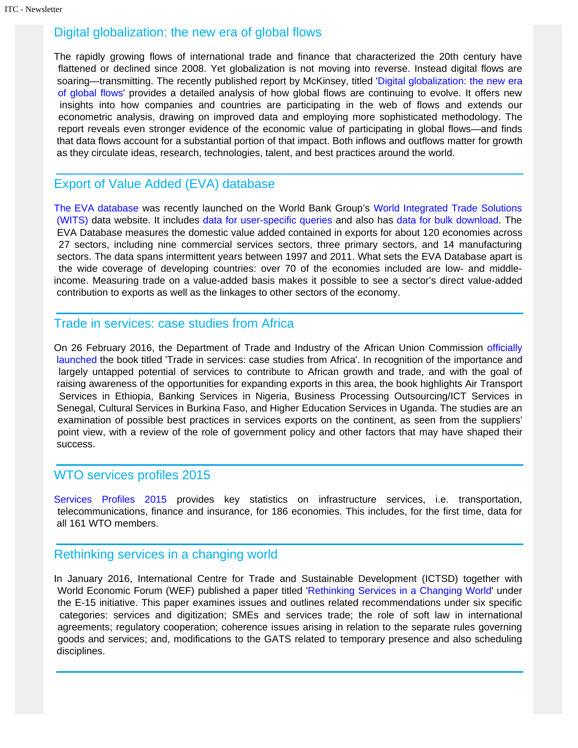## Digital globalization: the new era of global flows

The rapidly growing flows of international trade and finance that characterized the 20th century have flattened or declined since 2008. Yet globalization is not moving into reverse. Instead digital flows are soaring—transmitting. The recently published report by McKinsey, titled '[Digital globalization: the new era](http://www.mckinsey.com/business-functions/mckinsey-digital/our-insights/digital-globalization-the-new-era-of-global-flows)  [of global flows](http://www.mckinsey.com/business-functions/mckinsey-digital/our-insights/digital-globalization-the-new-era-of-global-flows)' provides a detailed analysis of how global flows are continuing to evolve. It offers new insights into how companies and countries are participating in the web of flows and extends our econometric analysis, drawing on improved data and employing more sophisticated methodology. The report reveals even stronger evidence of the economic value of participating in global flows—and finds that data flows account for a substantial portion of that impact. Both inflows and outflows matter for growth as they circulate ideas, research, technologies, talent, and best practices around the world.

## Export of Value Added (EVA) database

[The EVA database](http://wits.worldbank.org/analyticaldata/evad/Country/USA/Year/2011/Summary) was recently launched on the World Bank Group's [World Integrated Trade Solutions](http://wits.worldbank.org/)  [\(WITS\)](http://wits.worldbank.org/) data website. It includes [data for user-specific queries](http://wits.worldbank.org/analyticaldata/analyticaldata.aspx) and also has [data for bulk download](http://data.worldbank.org/data-catalog/export-value-added). The EVA Database measures the domestic value added contained in exports for about 120 economies across 27 sectors, including nine commercial services sectors, three primary sectors, and 14 manufacturing sectors. The data spans intermittent years between 1997 and 2011. What sets the EVA Database apart is the wide coverage of developing countries: over 70 of the economies included are low- and middleincome. Measuring trade on a value-added basis makes it possible to see a sector's direct value-added contribution to exports as well as the linkages to other sectors of the economy.

#### Trade in services: case studies from Africa

On 26 February 2016, the Department of Trade and Industry of the African Union Commission [officially](http://au.int/en/newsevents/21053/launch-book-trade-services-case-studies-africa)  [launched](http://au.int/en/newsevents/21053/launch-book-trade-services-case-studies-africa) the book titled 'Trade in services: case studies from Africa'. In recognition of the importance and largely untapped potential of services to contribute to African growth and trade, and with the goal of raising awareness of the opportunities for expanding exports in this area, the book highlights Air Transport Services in Ethiopia, Banking Services in Nigeria, Business Processing Outsourcing/ICT Services in Senegal, Cultural Services in Burkina Faso, and Higher Education Services in Uganda. The studies are an examination of possible best practices in services exports on the continent, as seen from the suppliers' point view, with a review of the role of government policy and other factors that may have shaped their success.

#### WTO services profiles 2015

[Services Profiles 2015](https://www.wto.org/english/res_e/publications_e/serv_profiles15_e.htm) provides key statistics on infrastructure services, i.e. transportation, telecommunications, finance and insurance, for 186 economies. This includes, for the first time, data for all 161 WTO members.

#### Rethinking services in a changing world

In January 2016, International Centre for Trade and Sustainable Development (ICTSD) together with World Economic Forum (WEF) published a paper titled '[Rethinking Services in a Changing World](http://www.ictsd.org/sites/default/files/research/E15-Services-Low-FINAL.pdf)' under the E-15 initiative. This paper examines issues and outlines related recommendations under six specific categories: services and digitization; SMEs and services trade; the role of soft law in international agreements; regulatory cooperation; coherence issues arising in relation to the separate rules governing goods and services; and, modifications to the GATS related to temporary presence and also scheduling disciplines.